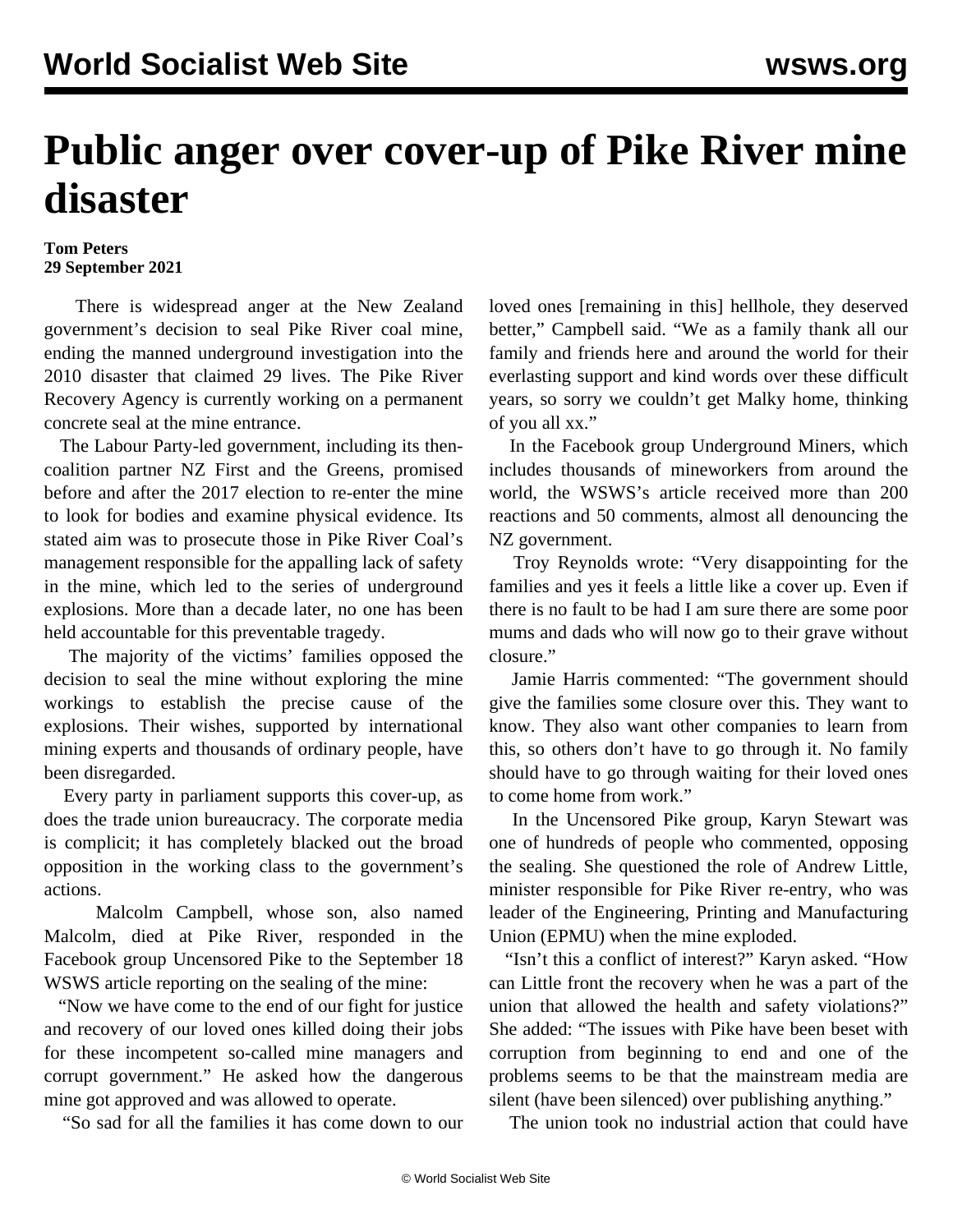## **Public anger over cover-up of Pike River mine disaster**

## **Tom Peters 29 September 2021**

 There is widespread anger at the New Zealand government's decision to seal Pike River coal mine, ending the manned underground investigation into the 2010 disaster that claimed 29 lives. The Pike River Recovery Agency is currently working on a permanent concrete seal at the mine entrance.

 The Labour Party-led government, including its thencoalition partner NZ First and the Greens, promised before and after the 2017 election to re-enter the mine to look for bodies and examine physical evidence. Its stated aim was to prosecute those in Pike River Coal's management responsible for the appalling lack of safety in the mine, which led to the series of underground explosions. More than a decade later, no one has been held accountable for this preventable tragedy.

 The majority of the victims' families opposed the decision to seal the mine without exploring the mine workings to establish the precise cause of the explosions. Their wishes, supported by international mining experts and thousands of ordinary people, have been disregarded.

 Every party in parliament supports this cover-up, as does the trade union bureaucracy. The corporate media is complicit; it has completely blacked out the broad opposition in the working class to the government's actions.

 Malcolm Campbell, whose son, also named Malcolm, died at Pike River, responded in the Facebook group Uncensored Pike to the September 18 WSWS [article](/en/articles/2021/09/18/pike-s18.html) reporting on the sealing of the mine:

 "Now we have come to the end of our fight for justice and recovery of our loved ones killed doing their jobs for these incompetent so-called mine managers and corrupt government." He asked how the dangerous mine got approved and was allowed to operate.

"So sad for all the families it has come down to our

loved ones [remaining in this] hellhole, they deserved better," Campbell said. "We as a family thank all our family and friends here and around the world for their everlasting support and kind words over these difficult years, so sorry we couldn't get Malky home, thinking of you all xx."

 In the Facebook group Underground Miners, which includes thousands of mineworkers from around the world, the WSWS's article received more than 200 reactions and 50 comments, almost all denouncing the NZ government.

 Troy Reynolds wrote: "Very disappointing for the families and yes it feels a little like a cover up. Even if there is no fault to be had I am sure there are some poor mums and dads who will now go to their grave without closure."

 Jamie Harris commented: "The government should give the families some closure over this. They want to know. They also want other companies to learn from this, so others don't have to go through it. No family should have to go through waiting for their loved ones to come home from work."

 In the Uncensored Pike group, Karyn Stewart was one of hundreds of people who commented, opposing the sealing. She questioned the role of Andrew Little, minister responsible for Pike River re-entry, who was leader of the Engineering, Printing and Manufacturing Union (EPMU) when the mine exploded.

 "Isn't this a conflict of interest?" Karyn asked. "How can Little front the recovery when he was a part of the union that allowed the health and safety violations?" She added: "The issues with Pike have been beset with corruption from beginning to end and one of the problems seems to be that the mainstream media are silent (have been silenced) over publishing anything."

The union took no industrial action that could have